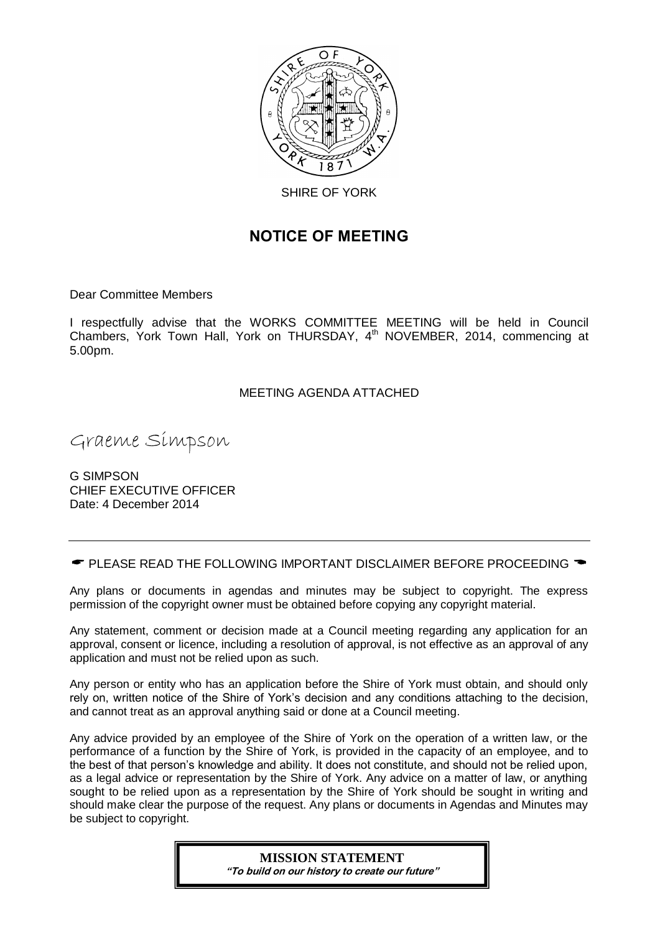

# **NOTICE OF MEETING**

Dear Committee Members

I respectfully advise that the WORKS COMMITTEE MEETING will be held in Council Chambers, York Town Hall, York on THURSDAY, 4<sup>th</sup> NOVEMBER, 2014, commencing at 5.00pm.

# MEETING AGENDA ATTACHED

Graeme Simpson

G SIMPSON CHIEF EXECUTIVE OFFICER Date: 4 December 2014

 $\bullet$  PLEASE READ THE FOLLOWING IMPORTANT DISCLAIMER BEFORE PROCEEDING  $\bullet$ 

Any plans or documents in agendas and minutes may be subject to copyright. The express permission of the copyright owner must be obtained before copying any copyright material.

Any statement, comment or decision made at a Council meeting regarding any application for an approval, consent or licence, including a resolution of approval, is not effective as an approval of any application and must not be relied upon as such.

Any person or entity who has an application before the Shire of York must obtain, and should only rely on, written notice of the Shire of York's decision and any conditions attaching to the decision, and cannot treat as an approval anything said or done at a Council meeting.

Any advice provided by an employee of the Shire of York on the operation of a written law, or the performance of a function by the Shire of York, is provided in the capacity of an employee, and to the best of that person's knowledge and ability. It does not constitute, and should not be relied upon, as a legal advice or representation by the Shire of York. Any advice on a matter of law, or anything sought to be relied upon as a representation by the Shire of York should be sought in writing and should make clear the purpose of the request. Any plans or documents in Agendas and Minutes may be subject to copyright.

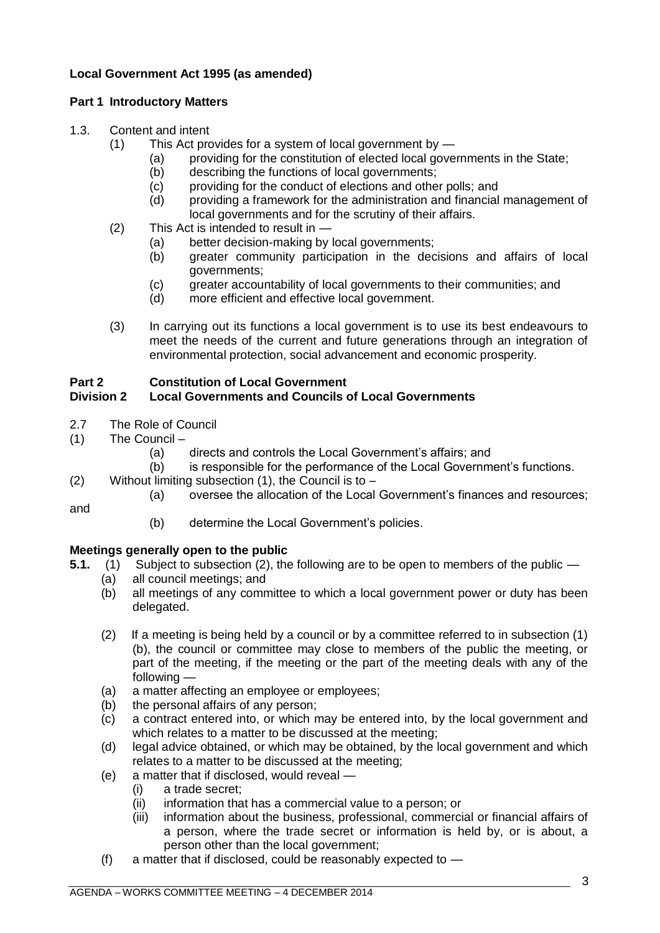# **Local Government Act 1995 (as amended)**

# **Part 1 Introductory Matters**

### 1.3. Content and intent

- (1) This Act provides for a system of local government by
	- (a) providing for the constitution of elected local governments in the State;
	- (b) describing the functions of local governments;
	- (c) providing for the conduct of elections and other polls; and
	- (d) providing a framework for the administration and financial management of local governments and for the scrutiny of their affairs.
- (2) This Act is intended to result in
	- (a) better decision-making by local governments;
	- (b) greater community participation in the decisions and affairs of local governments;
	- (c) greater accountability of local governments to their communities; and
	- (d) more efficient and effective local government.
- (3) In carrying out its functions a local government is to use its best endeavours to meet the needs of the current and future generations through an integration of environmental protection, social advancement and economic prosperity.

# **Part 2 Constitution of Local Government**

# **Division 2 Local Governments and Councils of Local Governments**

- 2.7 The Role of Council
- (1) The Council –

and

(a) directs and controls the Local Government's affairs; and

(b) is responsible for the performance of the Local Government's functions.

- (2) Without limiting subsection (1), the Council is to
	- (a) oversee the allocation of the Local Government's finances and resources;
	- (b) determine the Local Government's policies.

# **Meetings generally open to the public**

- **5.1.** (1) Subject to subsection (2), the following are to be open to members of the public
	- (a) all council meetings; and
	- (b) all meetings of any committee to which a local government power or duty has been delegated.
	- (2) If a meeting is being held by a council or by a committee referred to in subsection (1) (b), the council or committee may close to members of the public the meeting, or part of the meeting, if the meeting or the part of the meeting deals with any of the following —
	- (a) a matter affecting an employee or employees;
	- (b) the personal affairs of any person;
	- (c) a contract entered into, or which may be entered into, by the local government and which relates to a matter to be discussed at the meeting;
	- (d) legal advice obtained, or which may be obtained, by the local government and which relates to a matter to be discussed at the meeting;
	- (e) a matter that if disclosed, would reveal
		- (i) a trade secret;
		- (ii) information that has a commercial value to a person; or
		- (iii) information about the business, professional, commercial or financial affairs of a person, where the trade secret or information is held by, or is about, a person other than the local government;
	- (f) a matter that if disclosed, could be reasonably expected to —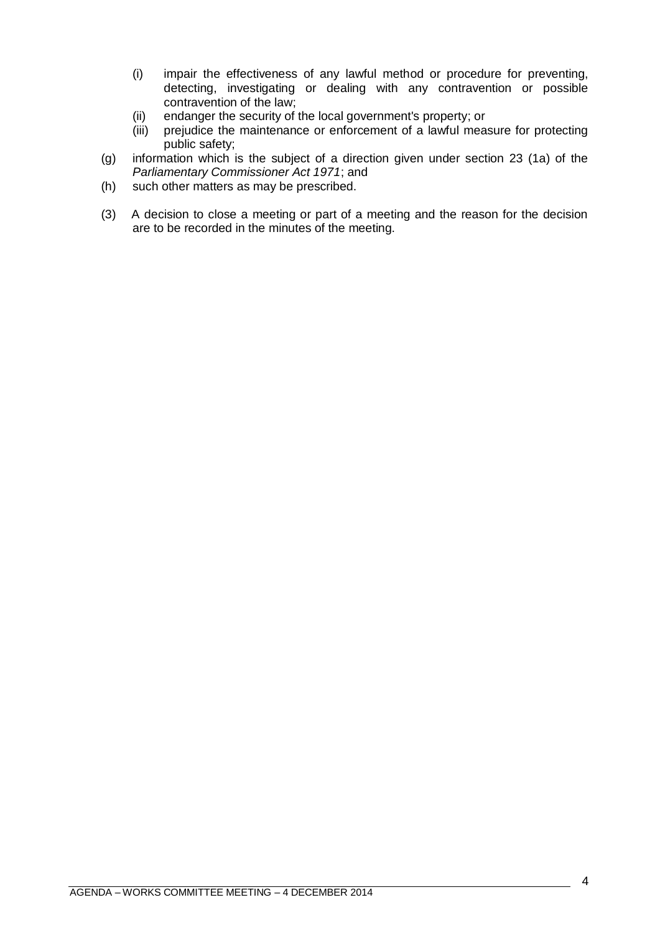- (i) impair the effectiveness of any lawful method or procedure for preventing, detecting, investigating or dealing with any contravention or possible contravention of the law;
- (ii) endanger the security of the local government's property; or
- (iii) prejudice the maintenance or enforcement of a lawful measure for protecting public safety;
- (g) information which is the subject of a direction given under section 23 (1a) of the *Parliamentary Commissioner Act 1971*; and
- (h) such other matters as may be prescribed.
- (3) A decision to close a meeting or part of a meeting and the reason for the decision are to be recorded in the minutes of the meeting.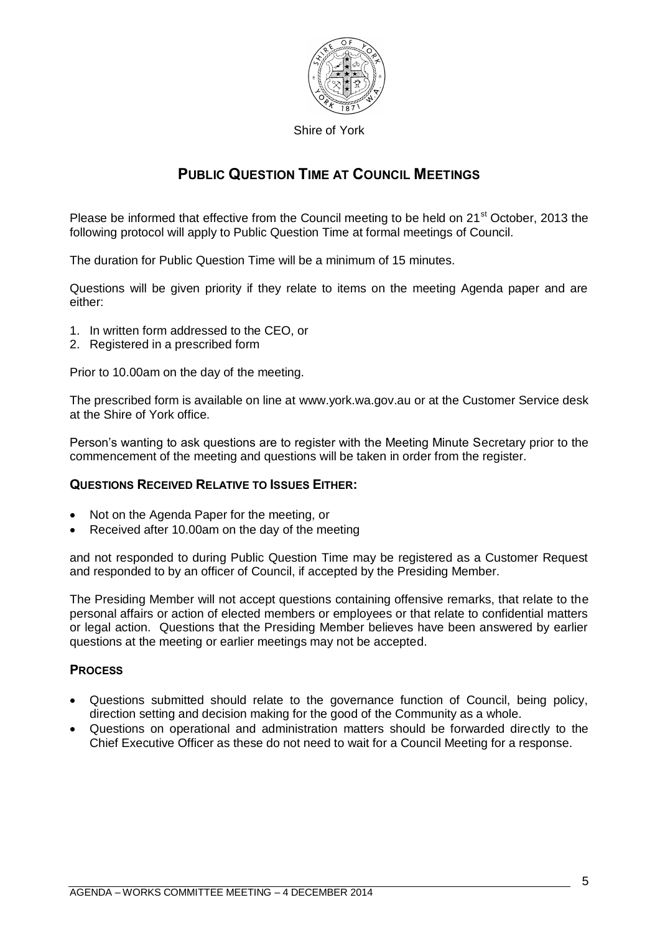

Shire of York

# **PUBLIC QUESTION TIME AT COUNCIL MEETINGS**

Please be informed that effective from the Council meeting to be held on 21<sup>st</sup> October, 2013 the following protocol will apply to Public Question Time at formal meetings of Council.

The duration for Public Question Time will be a minimum of 15 minutes.

Questions will be given priority if they relate to items on the meeting Agenda paper and are either:

- 1. In written form addressed to the CEO, or
- 2. Registered in a prescribed form

Prior to 10.00am on the day of the meeting.

The prescribed form is available on line at [www.york.wa.gov.au](http://www.york.wa.gov.au/) or at the Customer Service desk at the Shire of York office.

Person's wanting to ask questions are to register with the Meeting Minute Secretary prior to the commencement of the meeting and questions will be taken in order from the register.

# **QUESTIONS RECEIVED RELATIVE TO ISSUES EITHER:**

- Not on the Agenda Paper for the meeting, or
- Received after 10.00am on the day of the meeting

and not responded to during Public Question Time may be registered as a Customer Request and responded to by an officer of Council, if accepted by the Presiding Member.

The Presiding Member will not accept questions containing offensive remarks, that relate to the personal affairs or action of elected members or employees or that relate to confidential matters or legal action. Questions that the Presiding Member believes have been answered by earlier questions at the meeting or earlier meetings may not be accepted.

# **PROCESS**

- Questions submitted should relate to the governance function of Council, being policy, direction setting and decision making for the good of the Community as a whole.
- Questions on operational and administration matters should be forwarded directly to the Chief Executive Officer as these do not need to wait for a Council Meeting for a response.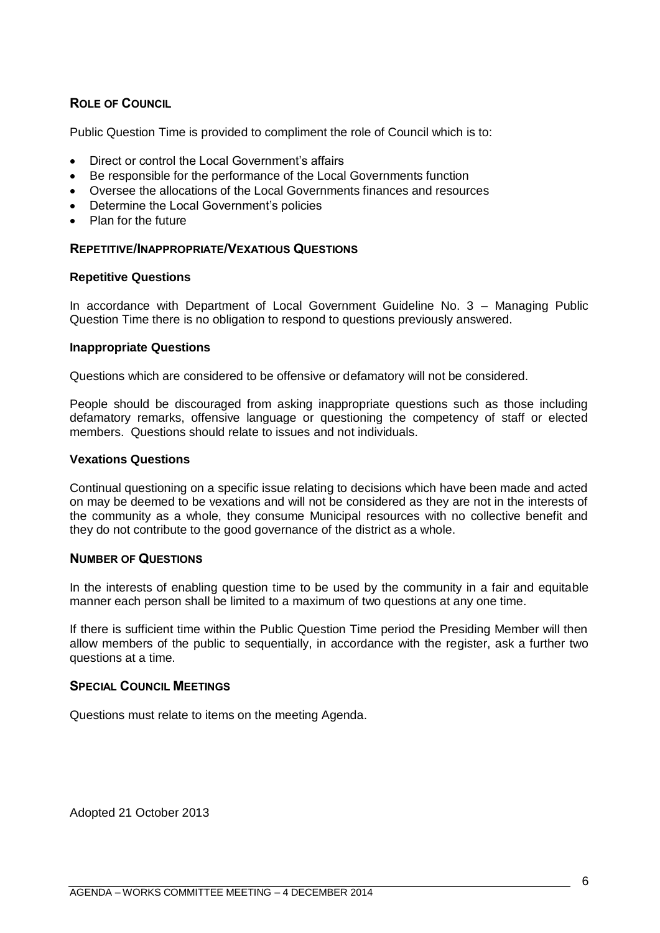# **ROLE OF COUNCIL**

Public Question Time is provided to compliment the role of Council which is to:

- Direct or control the Local Government's affairs
- Be responsible for the performance of the Local Governments function
- Oversee the allocations of the Local Governments finances and resources
- Determine the Local Government's policies
- Plan for the future

### **REPETITIVE/INAPPROPRIATE/VEXATIOUS QUESTIONS**

#### **Repetitive Questions**

In accordance with Department of Local Government Guideline No. 3 – Managing Public Question Time there is no obligation to respond to questions previously answered.

#### **Inappropriate Questions**

Questions which are considered to be offensive or defamatory will not be considered.

People should be discouraged from asking inappropriate questions such as those including defamatory remarks, offensive language or questioning the competency of staff or elected members. Questions should relate to issues and not individuals.

#### **Vexations Questions**

Continual questioning on a specific issue relating to decisions which have been made and acted on may be deemed to be vexations and will not be considered as they are not in the interests of the community as a whole, they consume Municipal resources with no collective benefit and they do not contribute to the good governance of the district as a whole.

#### **NUMBER OF QUESTIONS**

In the interests of enabling question time to be used by the community in a fair and equitable manner each person shall be limited to a maximum of two questions at any one time.

If there is sufficient time within the Public Question Time period the Presiding Member will then allow members of the public to sequentially, in accordance with the register, ask a further two questions at a time.

#### **SPECIAL COUNCIL MEETINGS**

Questions must relate to items on the meeting Agenda.

Adopted 21 October 2013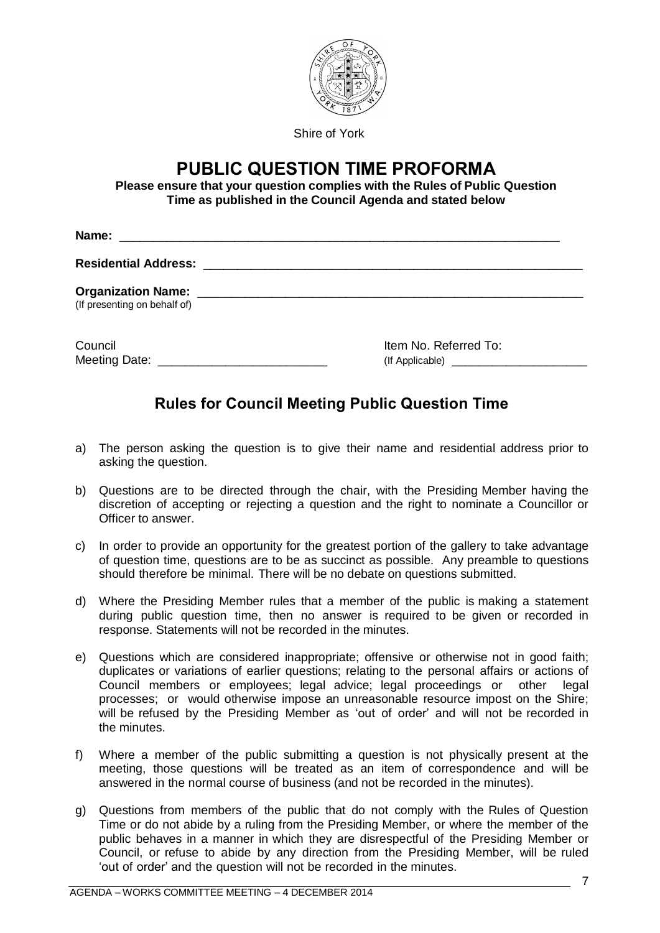

Shire of York

# **PUBLIC QUESTION TIME PROFORMA**

**Please ensure that your question complies with the Rules of Public Question Time as published in the Council Agenda and stated below**

| (If presenting on behalf of) |                       |  |
|------------------------------|-----------------------|--|
| Council<br>Meeting Date:     | Item No. Referred To: |  |

# **Rules for Council Meeting Public Question Time**

- a) The person asking the question is to give their name and residential address prior to asking the question.
- b) Questions are to be directed through the chair, with the Presiding Member having the discretion of accepting or rejecting a question and the right to nominate a Councillor or Officer to answer.
- c) In order to provide an opportunity for the greatest portion of the gallery to take advantage of question time, questions are to be as succinct as possible. Any preamble to questions should therefore be minimal. There will be no debate on questions submitted.
- d) Where the Presiding Member rules that a member of the public is making a statement during public question time, then no answer is required to be given or recorded in response. Statements will not be recorded in the minutes.
- e) Questions which are considered inappropriate; offensive or otherwise not in good faith; duplicates or variations of earlier questions; relating to the personal affairs or actions of Council members or employees; legal advice; legal proceedings or other legal processes; or would otherwise impose an unreasonable resource impost on the Shire; will be refused by the Presiding Member as 'out of order' and will not be recorded in the minutes.
- f) Where a member of the public submitting a question is not physically present at the meeting, those questions will be treated as an item of correspondence and will be answered in the normal course of business (and not be recorded in the minutes).
- g) Questions from members of the public that do not comply with the Rules of Question Time or do not abide by a ruling from the Presiding Member, or where the member of the public behaves in a manner in which they are disrespectful of the Presiding Member or Council, or refuse to abide by any direction from the Presiding Member, will be ruled 'out of order' and the question will not be recorded in the minutes.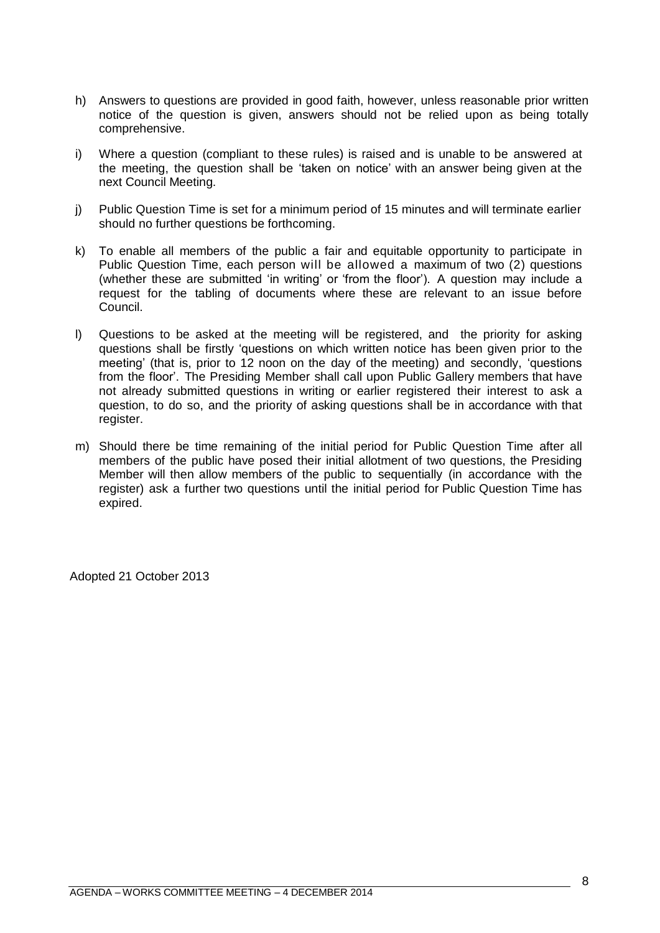- h) Answers to questions are provided in good faith, however, unless reasonable prior written notice of the question is given, answers should not be relied upon as being totally comprehensive.
- i) Where a question (compliant to these rules) is raised and is unable to be answered at the meeting, the question shall be 'taken on notice' with an answer being given at the next Council Meeting.
- j) Public Question Time is set for a minimum period of 15 minutes and will terminate earlier should no further questions be forthcoming.
- k) To enable all members of the public a fair and equitable opportunity to participate in Public Question Time, each person will be allowed a maximum of two (2) questions (whether these are submitted 'in writing' or 'from the floor'). A question may include a request for the tabling of documents where these are relevant to an issue before Council.
- l) Questions to be asked at the meeting will be registered, and the priority for asking questions shall be firstly 'questions on which written notice has been given prior to the meeting' (that is, prior to 12 noon on the day of the meeting) and secondly, 'questions from the floor'. The Presiding Member shall call upon Public Gallery members that have not already submitted questions in writing or earlier registered their interest to ask a question, to do so, and the priority of asking questions shall be in accordance with that register.
- m) Should there be time remaining of the initial period for Public Question Time after all members of the public have posed their initial allotment of two questions, the Presiding Member will then allow members of the public to sequentially (in accordance with the register) ask a further two questions until the initial period for Public Question Time has expired.

Adopted 21 October 2013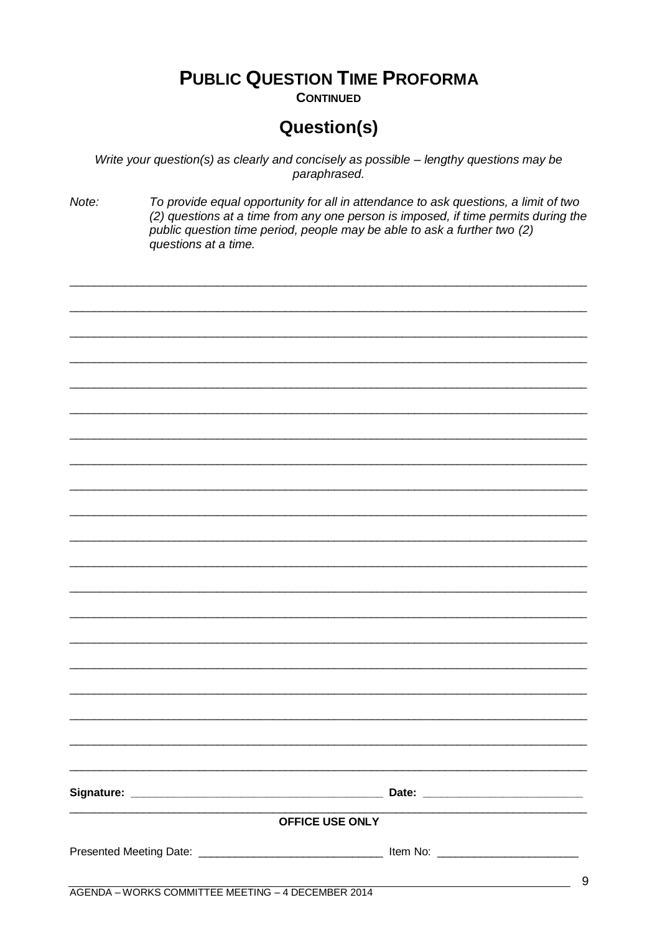# **PUBLIC QUESTION TIME PROFORMA**

**CONTINUED** 

# **Question(s)**

Write your question(s) as clearly and concisely as possible - lengthy questions may be paraphrased.

Note: To provide equal opportunity for all in attendance to ask questions, a limit of two (2) questions at a time from any one person is imposed, if time permits during the public question time period, people may be able to ask a further two (2) questions at a time.

| <b>OFFICE USE ONLY</b> | $\mathbf C$ |
|------------------------|-------------|
|                        |             |
|                        |             |
|                        |             |
|                        |             |
|                        |             |
|                        |             |
|                        |             |
|                        |             |
|                        |             |
|                        |             |
|                        |             |
|                        |             |
|                        |             |
|                        |             |
|                        |             |
|                        |             |
|                        |             |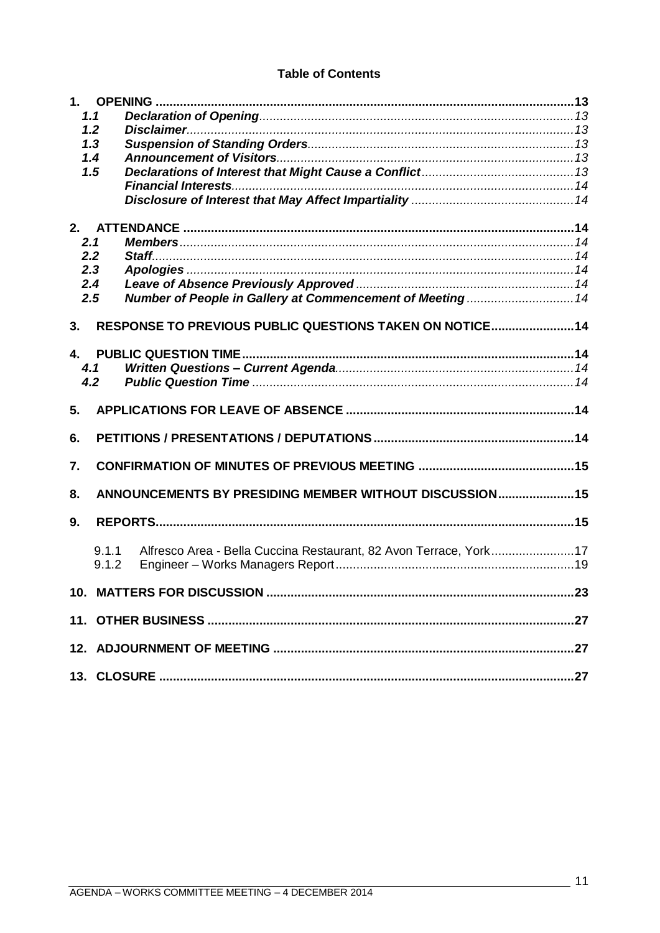### **Table of Contents**

| 1.1 |                |                                                                   |  |
|-----|----------------|-------------------------------------------------------------------|--|
| 1.2 |                |                                                                   |  |
|     | 1.3            |                                                                   |  |
|     | 1.4            |                                                                   |  |
|     | 1.5            |                                                                   |  |
|     |                |                                                                   |  |
|     |                |                                                                   |  |
| 2.  |                |                                                                   |  |
| 2.1 |                |                                                                   |  |
| 2.2 |                |                                                                   |  |
| 2.3 |                |                                                                   |  |
| 2.4 |                |                                                                   |  |
| 2.5 |                | Number of People in Gallery at Commencement of Meeting 14         |  |
| 3.  |                | RESPONSE TO PREVIOUS PUBLIC QUESTIONS TAKEN ON NOTICE14           |  |
|     |                |                                                                   |  |
|     |                |                                                                   |  |
| 4.1 |                |                                                                   |  |
|     | 4.2            |                                                                   |  |
| 5.  |                |                                                                   |  |
| 6.  |                |                                                                   |  |
| 7.  |                |                                                                   |  |
| 8.  |                | ANNOUNCEMENTS BY PRESIDING MEMBER WITHOUT DISCUSSION 15           |  |
| 9.  |                |                                                                   |  |
|     | 9.1.1<br>9.1.2 | Alfresco Area - Bella Cuccina Restaurant, 82 Avon Terrace, York17 |  |
|     |                |                                                                   |  |
|     |                |                                                                   |  |
|     |                |                                                                   |  |
|     |                |                                                                   |  |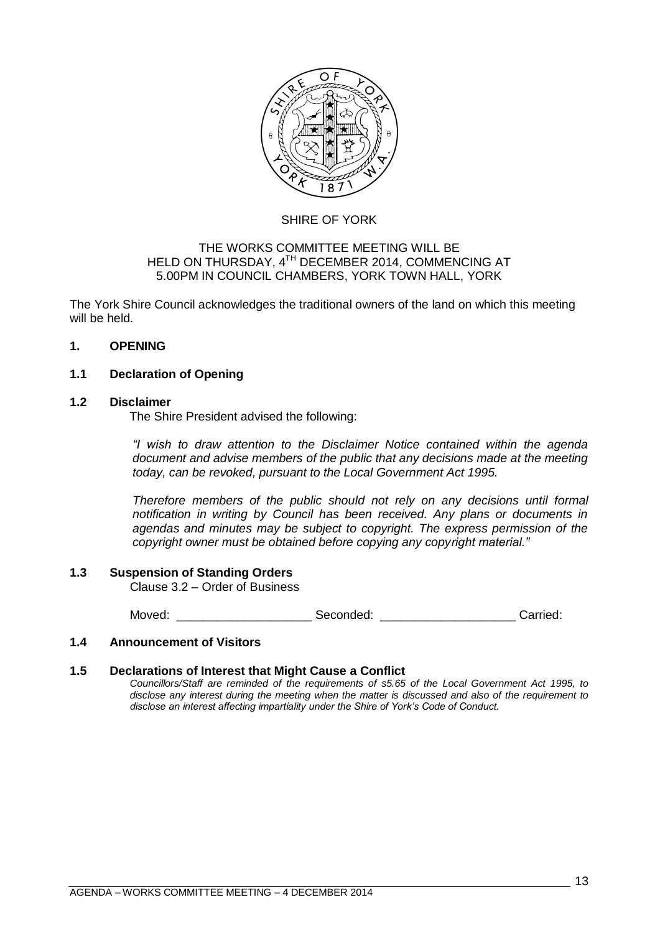

# SHIRE OF YORK

#### THE WORKS COMMITTEE MEETING WILL BE HELD ON THURSDAY, 4<sup>TH</sup> DECEMBER 2014, COMMENCING AT 5.00PM IN COUNCIL CHAMBERS, YORK TOWN HALL, YORK

The York Shire Council acknowledges the traditional owners of the land on which this meeting will be held.

### <span id="page-12-0"></span>**1. OPENING**

# <span id="page-12-1"></span>**1.1 Declaration of Opening**

#### <span id="page-12-2"></span>**1.2 Disclaimer**

The Shire President advised the following:

*"I wish to draw attention to the Disclaimer Notice contained within the agenda document and advise members of the public that any decisions made at the meeting today, can be revoked, pursuant to the Local Government Act 1995.* 

*Therefore members of the public should not rely on any decisions until formal notification in writing by Council has been received. Any plans or documents in agendas and minutes may be subject to copyright. The express permission of the copyright owner must be obtained before copying any copyright material."*

#### <span id="page-12-3"></span>**1.3 Suspension of Standing Orders**

Clause 3.2 – Order of Business

Moved: example and Seconded: example and Seconded: example and Seconded: example and Seconded: example and Seconded:

#### <span id="page-12-4"></span>**1.4 Announcement of Visitors**

#### <span id="page-12-5"></span>**1.5 Declarations of Interest that Might Cause a Conflict**

*Councillors/Staff are reminded of the requirements of s5.65 of the Local Government Act 1995, to disclose any interest during the meeting when the matter is discussed and also of the requirement to disclose an interest affecting impartiality under the Shire of York's Code of Conduct.*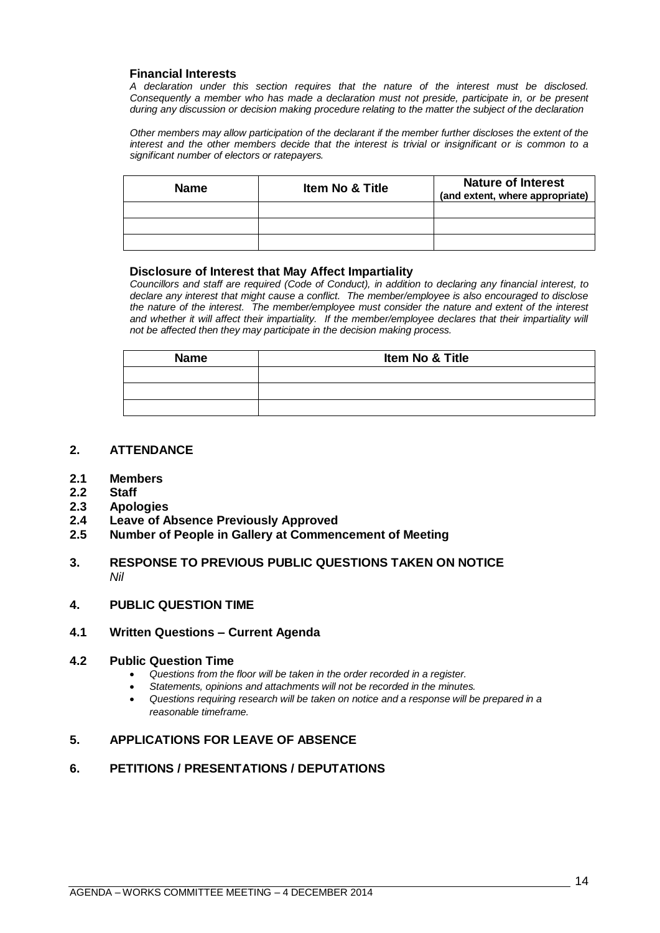#### <span id="page-13-0"></span>**Financial Interests**

*A declaration under this section requires that the nature of the interest must be disclosed. Consequently a member who has made a declaration must not preside, participate in, or be present during any discussion or decision making procedure relating to the matter the subject of the declaration*

*Other members may allow participation of the declarant if the member further discloses the extent of the interest and the other members decide that the interest is trivial or insignificant or is common to a significant number of electors or ratepayers.*

| <b>Name</b> | <b>Item No &amp; Title</b> | <b>Nature of Interest</b><br>(and extent, where appropriate) |
|-------------|----------------------------|--------------------------------------------------------------|
|             |                            |                                                              |
|             |                            |                                                              |
|             |                            |                                                              |

#### <span id="page-13-1"></span>**Disclosure of Interest that May Affect Impartiality**

*Councillors and staff are required (Code of Conduct), in addition to declaring any financial interest, to declare any interest that might cause a conflict. The member/employee is also encouraged to disclose the nature of the interest. The member/employee must consider the nature and extent of the interest*  and whether it will affect their impartiality. If the member/employee declares that their impartiality will *not be affected then they may participate in the decision making process.*

| <b>Name</b> | Item No & Title |
|-------------|-----------------|
|             |                 |
|             |                 |
|             |                 |

#### <span id="page-13-2"></span>**2. ATTENDANCE**

- <span id="page-13-3"></span>**2.1 Members**
- <span id="page-13-4"></span>**2.2 Staff**
- <span id="page-13-5"></span>**2.3 Apologies**
- <span id="page-13-6"></span>**2.4 Leave of Absence Previously Approved**
- <span id="page-13-7"></span>**2.5 Number of People in Gallery at Commencement of Meeting**

#### <span id="page-13-8"></span>**3. RESPONSE TO PREVIOUS PUBLIC QUESTIONS TAKEN ON NOTICE** *Nil*

#### <span id="page-13-9"></span>**4. PUBLIC QUESTION TIME**

#### <span id="page-13-10"></span>**4.1 Written Questions – Current Agenda**

#### <span id="page-13-11"></span>**4.2 Public Question Time**

- *Questions from the floor will be taken in the order recorded in a register.*
- *Statements, opinions and attachments will not be recorded in the minutes.*
- *Questions requiring research will be taken on notice and a response will be prepared in a reasonable timeframe.*

#### <span id="page-13-12"></span>**5. APPLICATIONS FOR LEAVE OF ABSENCE**

#### <span id="page-13-13"></span>**6. PETITIONS / PRESENTATIONS / DEPUTATIONS**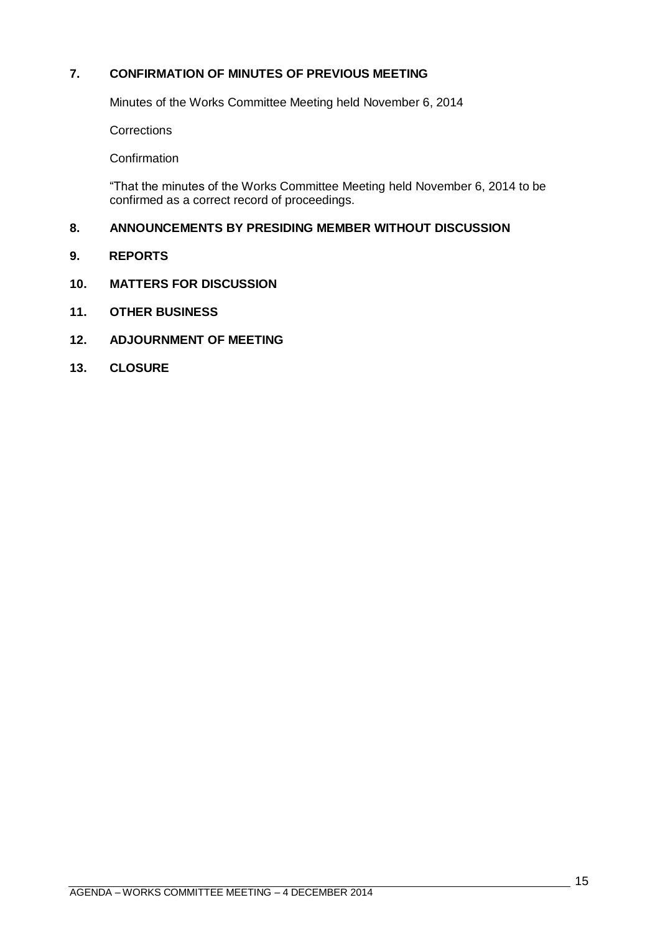# <span id="page-14-0"></span>**7. CONFIRMATION OF MINUTES OF PREVIOUS MEETING**

Minutes of the Works Committee Meeting held November 6, 2014

**Corrections** 

**Confirmation** 

―That the minutes of the Works Committee Meeting held November 6, 2014 to be confirmed as a correct record of proceedings.

# <span id="page-14-1"></span>**8. ANNOUNCEMENTS BY PRESIDING MEMBER WITHOUT DISCUSSION**

- <span id="page-14-2"></span>**9. REPORTS**
- **10. MATTERS FOR DISCUSSION**
- **11. OTHER BUSINESS**
- **12. ADJOURNMENT OF MEETING**
- **13. CLOSURE**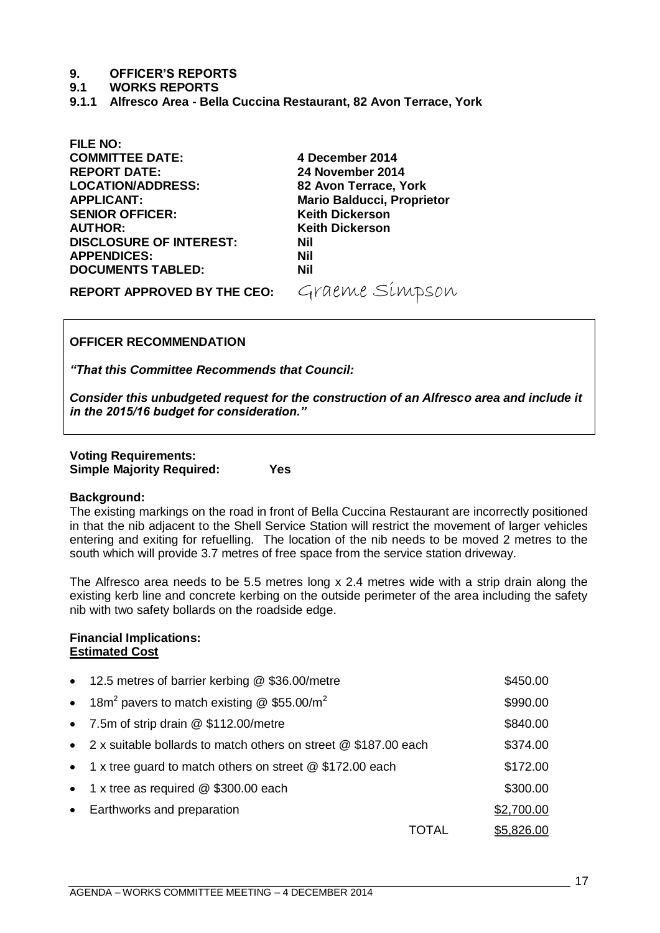#### **9. OFFICER'S REPORTS**

#### **9.1 WORKS REPORTS**

<span id="page-16-0"></span>**9.1.1 Alfresco Area - Bella Cuccina Restaurant, 82 Avon Terrace, York**

**FILE NO: COMMITTEE DATE: 4 December 2014 REPORT DATE: 24 November 2014 LOCATION/ADDRESS: 82 Avon Terrace, York APPLICANT: Mario Balducci, Proprietor SENIOR OFFICER: Keith Dickerson AUTHOR: Keith Dickerson DISCLOSURE OF INTEREST: Nil APPENDICES: Nil DOCUMENTS TABLED: Nil**

# REPORT APPROVED BY THE CEO: Graeme Simpson

# **OFFICER RECOMMENDATION**

*"That this Committee Recommends that Council:*

*Consider this unbudgeted request for the construction of an Alfresco area and include it in the 2015/16 budget for consideration."*

#### **Voting Requirements: Simple Majority Required: Yes**

#### **Background:**

The existing markings on the road in front of Bella Cuccina Restaurant are incorrectly positioned in that the nib adjacent to the Shell Service Station will restrict the movement of larger vehicles entering and exiting for refuelling. The location of the nib needs to be moved 2 metres to the south which will provide 3.7 metres of free space from the service station driveway.

The Alfresco area needs to be 5.5 metres long x 2.4 metres wide with a strip drain along the existing kerb line and concrete kerbing on the outside perimeter of the area including the safety nib with two safety bollards on the roadside edge.

#### **Financial Implications: Estimated Cost**

| • 12.5 metres of barrier kerbing @ \$36.00/metre                       |       | \$450.00          |
|------------------------------------------------------------------------|-------|-------------------|
| • 18m <sup>2</sup> pavers to match existing $@$ \$55.00/m <sup>2</sup> |       | \$990.00          |
| • 7.5m of strip drain @ \$112.00/metre                                 |       | \$840.00          |
| • 2 x suitable bollards to match others on street @ \$187.00 each      |       | \$374.00          |
| • 1 x tree guard to match others on street $@$ \$172.00 each           |       | \$172.00          |
| • 1 x tree as required $@$ \$300.00 each                               |       | \$300.00          |
| • Earthworks and preparation                                           |       | \$2,700.00        |
|                                                                        | TOTAL | <u>\$5,826.00</u> |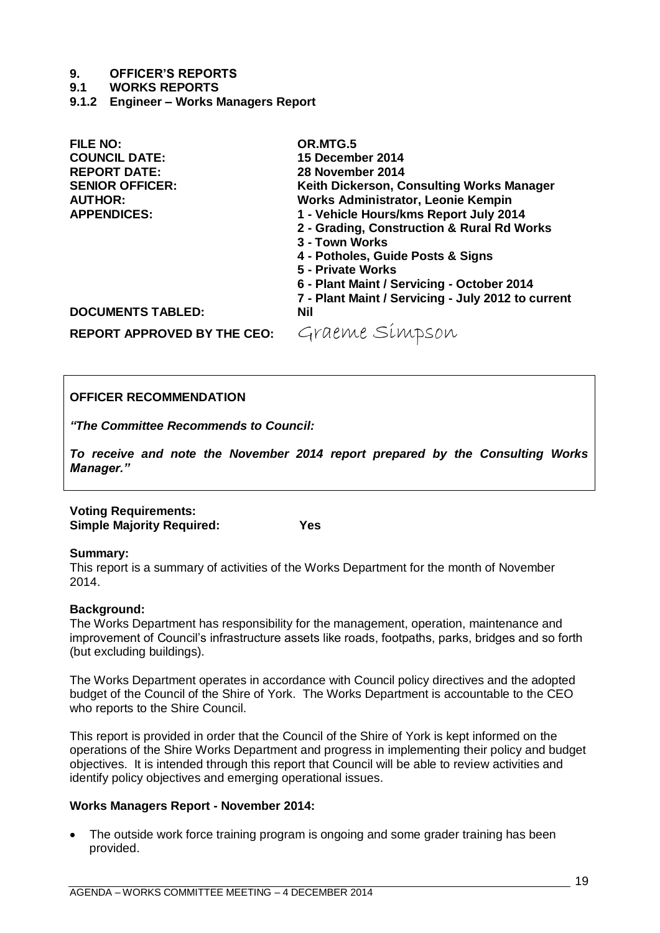#### **9. OFFICER'S REPORTS**

#### **9.1 WORKS REPORTS**

<span id="page-18-0"></span>**9.1.2 Engineer – Works Managers Report** 

| <b>FILE NO:</b>                    | OR.MTG.5                                           |
|------------------------------------|----------------------------------------------------|
| <b>COUNCIL DATE:</b>               | 15 December 2014                                   |
| <b>REPORT DATE:</b>                | 28 November 2014                                   |
| <b>SENIOR OFFICER:</b>             | Keith Dickerson, Consulting Works Manager          |
| <b>AUTHOR:</b>                     | <b>Works Administrator, Leonie Kempin</b>          |
| <b>APPENDICES:</b>                 | 1 - Vehicle Hours/kms Report July 2014             |
|                                    | 2 - Grading, Construction & Rural Rd Works         |
|                                    | 3 - Town Works                                     |
|                                    | 4 - Potholes, Guide Posts & Signs                  |
|                                    | 5 - Private Works                                  |
|                                    | 6 - Plant Maint / Servicing - October 2014         |
|                                    | 7 - Plant Maint / Servicing - July 2012 to current |
| <b>DOCUMENTS TABLED:</b>           | <b>Nil</b>                                         |
| <b>REPORT APPROVED BY THE CEO:</b> | Graeme Simpson                                     |

### **OFFICER RECOMMENDATION**

*"The Committee Recommends to Council:*

*To receive and note the November 2014 report prepared by the Consulting Works Manager."*

### **Voting Requirements: Simple Majority Required: Yes**

# **Summary:**

This report is a summary of activities of the Works Department for the month of November 2014.

# **Background:**

The Works Department has responsibility for the management, operation, maintenance and improvement of Council's infrastructure assets like roads, footpaths, parks, bridges and so forth (but excluding buildings).

The Works Department operates in accordance with Council policy directives and the adopted budget of the Council of the Shire of York. The Works Department is accountable to the CEO who reports to the Shire Council.

This report is provided in order that the Council of the Shire of York is kept informed on the operations of the Shire Works Department and progress in implementing their policy and budget objectives. It is intended through this report that Council will be able to review activities and identify policy objectives and emerging operational issues.

# **Works Managers Report - November 2014:**

• The outside work force training program is ongoing and some grader training has been provided.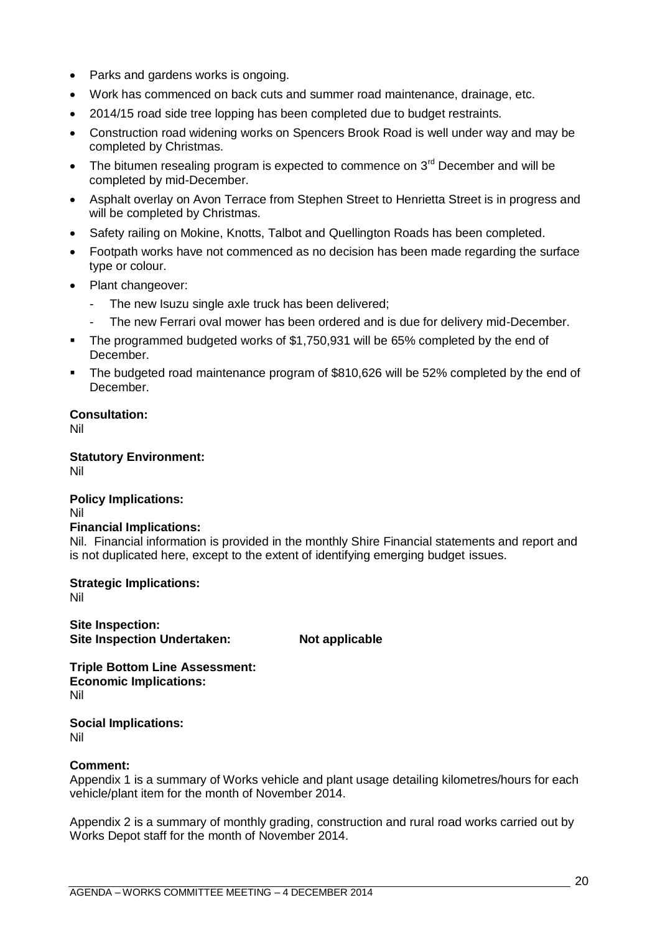- Parks and gardens works is ongoing.
- Work has commenced on back cuts and summer road maintenance, drainage, etc.
- 2014/15 road side tree lopping has been completed due to budget restraints.
- Construction road widening works on Spencers Brook Road is well under way and may be completed by Christmas.
- The bitumen resealing program is expected to commence on  $3<sup>rd</sup>$  December and will be completed by mid-December.
- Asphalt overlay on Avon Terrace from Stephen Street to Henrietta Street is in progress and will be completed by Christmas.
- Safety railing on Mokine, Knotts, Talbot and Quellington Roads has been completed.
- Footpath works have not commenced as no decision has been made regarding the surface type or colour.
- Plant changeover:
	- The new Isuzu single axle truck has been delivered;
	- The new Ferrari oval mower has been ordered and is due for delivery mid-December.
- The programmed budgeted works of \$1,750,931 will be 65% completed by the end of December.
- The budgeted road maintenance program of \$810,626 will be 52% completed by the end of December.

#### **Consultation:**

Nil

**Statutory Environment:** Nil

# **Policy Implications:**

Nil

### **Financial Implications:**

Nil. Financial information is provided in the monthly Shire Financial statements and report and is not duplicated here, except to the extent of identifying emerging budget issues.

**Strategic Implications:**

Nil

**Site Inspection: Site Inspection Undertaken:** Not applicable

**Triple Bottom Line Assessment: Economic Implications:** Nil

**Social Implications:** Nil

#### **Comment:**

Appendix 1 is a summary of Works vehicle and plant usage detailing kilometres/hours for each vehicle/plant item for the month of November 2014.

Appendix 2 is a summary of monthly grading, construction and rural road works carried out by Works Depot staff for the month of November 2014.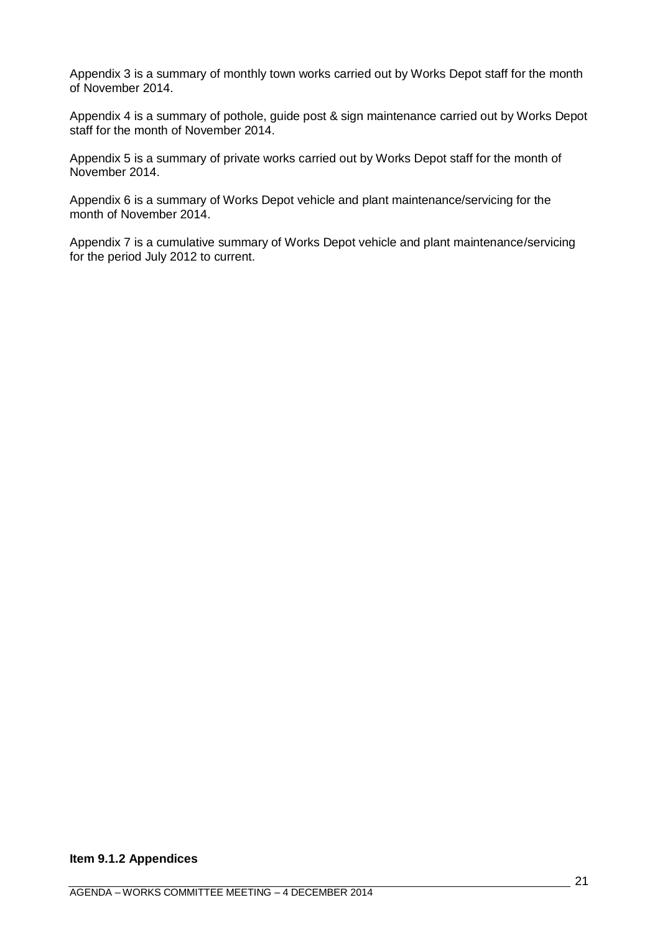Appendix 3 is a summary of monthly town works carried out by Works Depot staff for the month of November 2014.

Appendix 4 is a summary of pothole, guide post & sign maintenance carried out by Works Depot staff for the month of November 2014.

Appendix 5 is a summary of private works carried out by Works Depot staff for the month of November 2014.

Appendix 6 is a summary of Works Depot vehicle and plant maintenance/servicing for the month of November 2014.

Appendix 7 is a cumulative summary of Works Depot vehicle and plant maintenance/servicing for the period July 2012 to current.

# **Item 9.1.2 Appendices**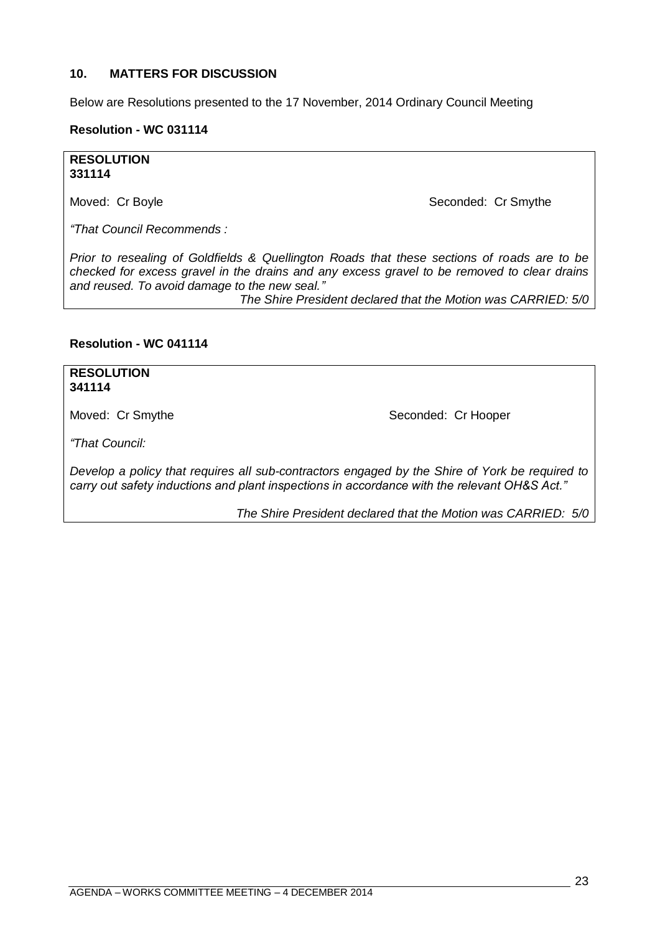#### <span id="page-22-0"></span>**10. MATTERS FOR DISCUSSION**

Below are Resolutions presented to the 17 November, 2014 Ordinary Council Meeting

#### **Resolution - WC 031114**

#### **RESOLUTION 331114**

Moved: Cr Boyle Seconded: Cr Smythe

*"That Council Recommends :*

*Prior to resealing of Goldfields & Quellington Roads that these sections of roads are to be checked for excess gravel in the drains and any excess gravel to be removed to clear drains and reused. To avoid damage to the new seal."*

*The Shire President declared that the Motion was CARRIED: 5/0*

#### **Resolution - WC 041114**

## **RESOLUTION 341114**

Moved: Cr Smythe Seconded: Cr Hooper

*"That Council:*

*Develop a policy that requires all sub-contractors engaged by the Shire of York be required to carry out safety inductions and plant inspections in accordance with the relevant OH&S Act."*

*The Shire President declared that the Motion was CARRIED: 5/0*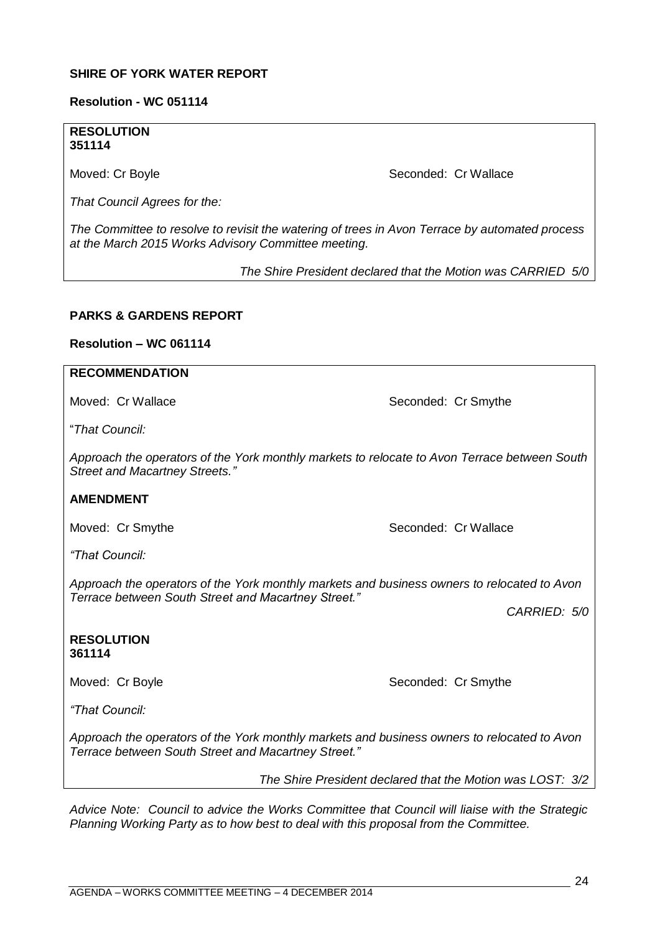#### **SHIRE OF YORK WATER REPORT**

#### **Resolution - WC 051114**

### **RESOLUTION 351114**

Moved: Cr Boyle **Seconded: Cr Wallace** Seconded: Cr Wallace

*That Council Agrees for the:*

*The Committee to resolve to revisit the watering of trees in Avon Terrace by automated process at the March 2015 Works Advisory Committee meeting.* 

*The Shire President declared that the Motion was CARRIED 5/0*

#### **PARKS & GARDENS REPORT**

#### **Resolution – WC 061114**

# **RECOMMENDATION**

Moved: Cr Wallace **Seconded: Cr Smythe** Seconded: Cr Smythe

―*That Council:*

*Approach the operators of the York monthly markets to relocate to Avon Terrace between South Street and Macartney Streets."*

#### **AMENDMENT**

Moved: Cr Smythe Seconded: Cr Wallace

*"That Council:*

*Approach the operators of the York monthly markets and business owners to relocated to Avon Terrace between South Street and Macartney Street."*

*CARRIED: 5/0*

**RESOLUTION 361114**

Moved: Cr Boyle Seconded: Cr Smythe

*"That Council:*

*Approach the operators of the York monthly markets and business owners to relocated to Avon Terrace between South Street and Macartney Street."*

*The Shire President declared that the Motion was LOST: 3/2*

*Advice Note: Council to advice the Works Committee that Council will liaise with the Strategic Planning Working Party as to how best to deal with this proposal from the Committee.*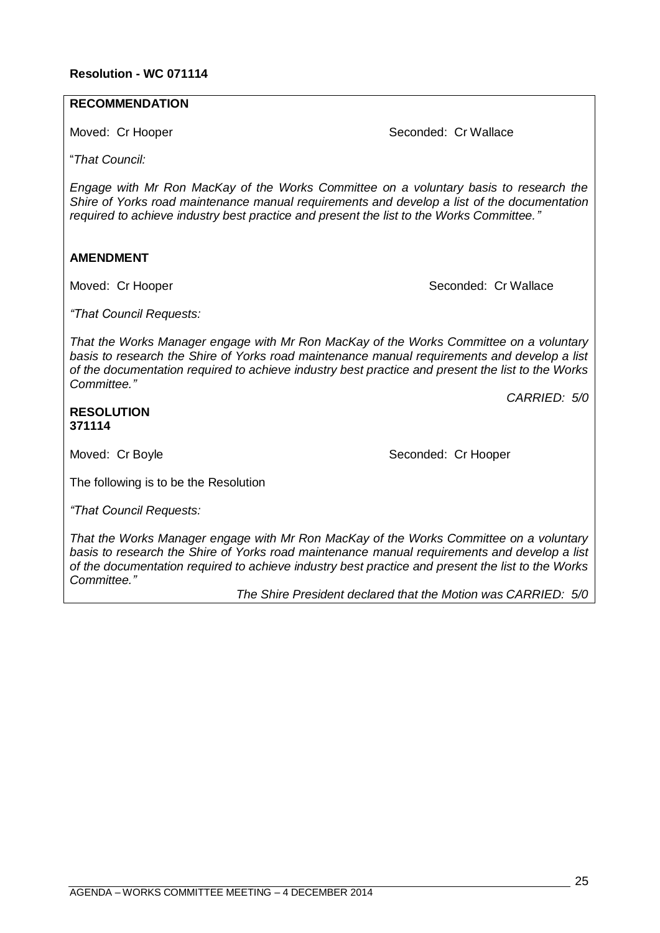# **RECOMMENDATION**

Moved: Cr Hooper Seconded: Cr Wallace

―*That Council:*

*Engage with Mr Ron MacKay of the Works Committee on a voluntary basis to research the Shire of Yorks road maintenance manual requirements and develop a list of the documentation required to achieve industry best practice and present the list to the Works Committee."*

# **AMENDMENT**

Moved: Cr Hooper Seconded: Cr Wallace

*"That Council Requests:*

*That the Works Manager engage with Mr Ron MacKay of the Works Committee on a voluntary basis to research the Shire of Yorks road maintenance manual requirements and develop a list of the documentation required to achieve industry best practice and present the list to the Works Committee."*

*CARRIED: 5/0*

### **RESOLUTION 371114**

Moved: Cr Boyle Seconded: Cr Hooper

The following is to be the Resolution

*"That Council Requests:*

*That the Works Manager engage with Mr Ron MacKay of the Works Committee on a voluntary basis to research the Shire of Yorks road maintenance manual requirements and develop a list of the documentation required to achieve industry best practice and present the list to the Works Committee."*

*The Shire President declared that the Motion was CARRIED: 5/0*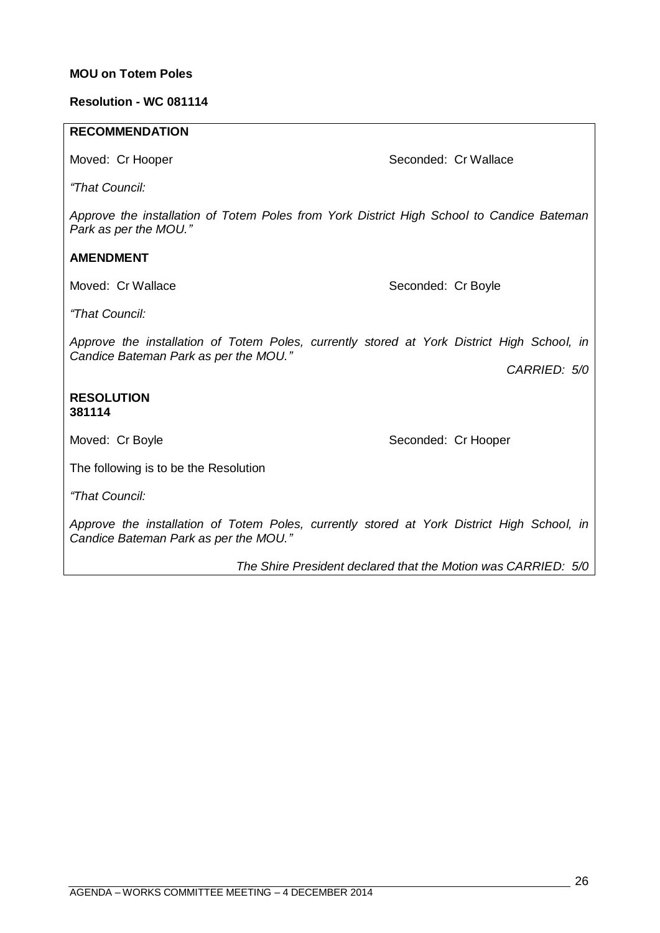#### **MOU on Totem Poles**

#### **Resolution - WC 081114**

#### **RECOMMENDATION**

Moved: Cr Hooper Seconded: Cr Wallace

*"That Council:*

*Approve the installation of Totem Poles from York District High School to Candice Bateman Park as per the MOU."*

### **AMENDMENT**

Moved: Cr Wallace Seconded: Cr Boyle

*"That Council:*

*Approve the installation of Totem Poles, currently stored at York District High School, in Candice Bateman Park as per the MOU."*

*CARRIED: 5/0*

#### **RESOLUTION 381114**

Moved: Cr Boyle Seconded: Cr Hooper

The following is to be the Resolution

*"That Council:*

*Approve the installation of Totem Poles, currently stored at York District High School, in Candice Bateman Park as per the MOU."*

*The Shire President declared that the Motion was CARRIED: 5/0*